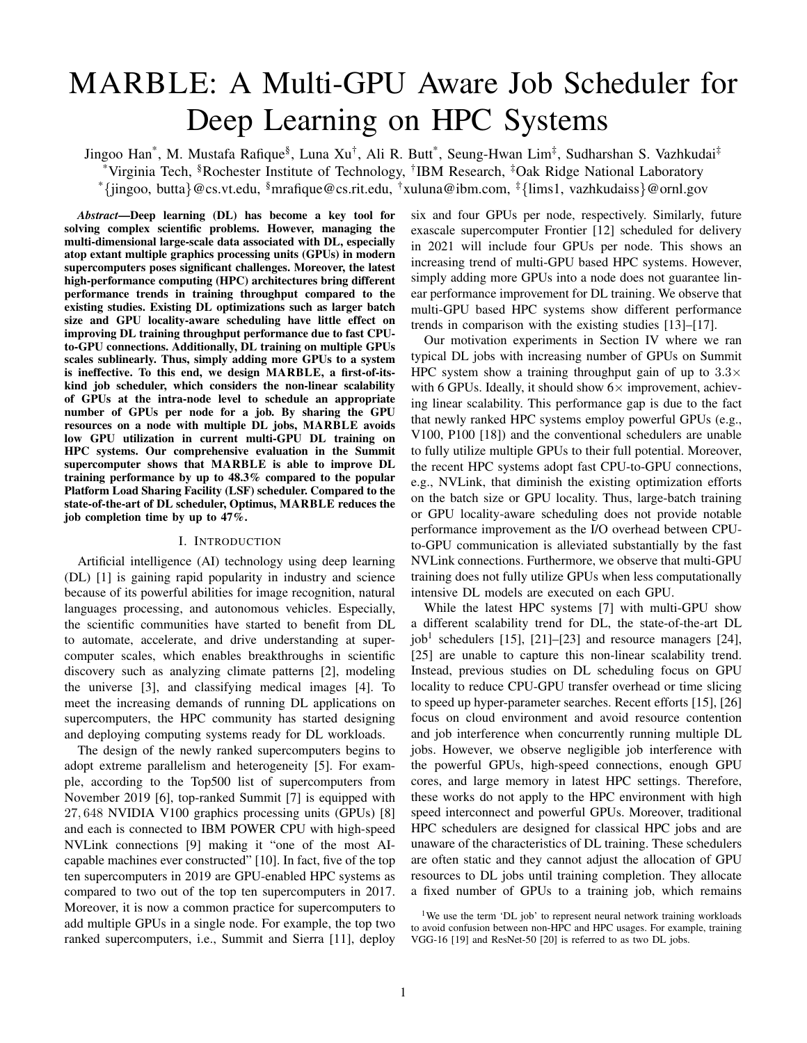# MARBLE: A Multi-GPU Aware Job Scheduler for Deep Learning on HPC Systems

Jingoo Han\*, M. Mustafa Rafique<sup>§</sup>, Luna Xu<sup>†</sup>, Ali R. Butt\*, Seung-Hwan Lim<sup>‡</sup>, Sudharshan S. Vazhkudai<sup>‡</sup> \*Virginia Tech, <sup>§</sup>Rochester Institute of Technology, <sup>†</sup>IBM Research, <sup>‡</sup>Oak Ridge National Laboratory \*{jingoo, butta}@cs.vt.edu, §mrafique@cs.rit.edu, †xuluna@ibm.com,  $\frac{4}{3}$ {lims1, vazhkudaiss}@ornl.gov

*Abstract*—Deep learning (DL) has become a key tool for solving complex scientific problems. However, managing the multi-dimensional large-scale data associated with DL, especially atop extant multiple graphics processing units (GPUs) in modern supercomputers poses significant challenges. Moreover, the latest high-performance computing (HPC) architectures bring different performance trends in training throughput compared to the existing studies. Existing DL optimizations such as larger batch size and GPU locality-aware scheduling have little effect on improving DL training throughput performance due to fast CPUto-GPU connections. Additionally, DL training on multiple GPUs scales sublinearly. Thus, simply adding more GPUs to a system is ineffective. To this end, we design MARBLE, a first-of-itskind job scheduler, which considers the non-linear scalability of GPUs at the intra-node level to schedule an appropriate number of GPUs per node for a job. By sharing the GPU resources on a node with multiple DL jobs, MARBLE avoids low GPU utilization in current multi-GPU DL training on HPC systems. Our comprehensive evaluation in the Summit supercomputer shows that MARBLE is able to improve DL training performance by up to 48.3% compared to the popular Platform Load Sharing Facility (LSF) scheduler. Compared to the state-of-the-art of DL scheduler, Optimus, MARBLE reduces the job completion time by up to 47%.

### I. INTRODUCTION

Artificial intelligence (AI) technology using deep learning (DL) [1] is gaining rapid popularity in industry and science because of its powerful abilities for image recognition, natural languages processing, and autonomous vehicles. Especially, the scientific communities have started to benefit from DL to automate, accelerate, and drive understanding at supercomputer scales, which enables breakthroughs in scientific discovery such as analyzing climate patterns [2], modeling the universe [3], and classifying medical images [4]. To meet the increasing demands of running DL applications on supercomputers, the HPC community has started designing and deploying computing systems ready for DL workloads.

The design of the newly ranked supercomputers begins to adopt extreme parallelism and heterogeneity [5]. For example, according to the Top500 list of supercomputers from November 2019 [6], top-ranked Summit [7] is equipped with 27, 648 NVIDIA V100 graphics processing units (GPUs) [8] and each is connected to IBM POWER CPU with high-speed NVLink connections [9] making it "one of the most AIcapable machines ever constructed" [10]. In fact, five of the top ten supercomputers in 2019 are GPU-enabled HPC systems as compared to two out of the top ten supercomputers in 2017. Moreover, it is now a common practice for supercomputers to add multiple GPUs in a single node. For example, the top two ranked supercomputers, i.e., Summit and Sierra [11], deploy six and four GPUs per node, respectively. Similarly, future exascale supercomputer Frontier [12] scheduled for delivery in 2021 will include four GPUs per node. This shows an increasing trend of multi-GPU based HPC systems. However, simply adding more GPUs into a node does not guarantee linear performance improvement for DL training. We observe that multi-GPU based HPC systems show different performance trends in comparison with the existing studies [13]–[17].

Our motivation experiments in Section IV where we ran typical DL jobs with increasing number of GPUs on Summit HPC system show a training throughput gain of up to  $3.3\times$ with 6 GPUs. Ideally, it should show  $6 \times$  improvement, achieving linear scalability. This performance gap is due to the fact that newly ranked HPC systems employ powerful GPUs (e.g., V100, P100 [18]) and the conventional schedulers are unable to fully utilize multiple GPUs to their full potential. Moreover, the recent HPC systems adopt fast CPU-to-GPU connections, e.g., NVLink, that diminish the existing optimization efforts on the batch size or GPU locality. Thus, large-batch training or GPU locality-aware scheduling does not provide notable performance improvement as the I/O overhead between CPUto-GPU communication is alleviated substantially by the fast NVLink connections. Furthermore, we observe that multi-GPU training does not fully utilize GPUs when less computationally intensive DL models are executed on each GPU.

While the latest HPC systems [7] with multi-GPU show a different scalability trend for DL, the state-of-the-art DL  $job<sup>1</sup>$  schedulers [15], [21]–[23] and resource managers [24], [25] are unable to capture this non-linear scalability trend. Instead, previous studies on DL scheduling focus on GPU locality to reduce CPU-GPU transfer overhead or time slicing to speed up hyper-parameter searches. Recent efforts [15], [26] focus on cloud environment and avoid resource contention and job interference when concurrently running multiple DL jobs. However, we observe negligible job interference with the powerful GPUs, high-speed connections, enough GPU cores, and large memory in latest HPC settings. Therefore, these works do not apply to the HPC environment with high speed interconnect and powerful GPUs. Moreover, traditional HPC schedulers are designed for classical HPC jobs and are unaware of the characteristics of DL training. These schedulers are often static and they cannot adjust the allocation of GPU resources to DL jobs until training completion. They allocate a fixed number of GPUs to a training job, which remains

<sup>&</sup>lt;sup>1</sup>We use the term 'DL job' to represent neural network training workloads to avoid confusion between non-HPC and HPC usages. For example, training VGG-16 [19] and ResNet-50 [20] is referred to as two DL jobs.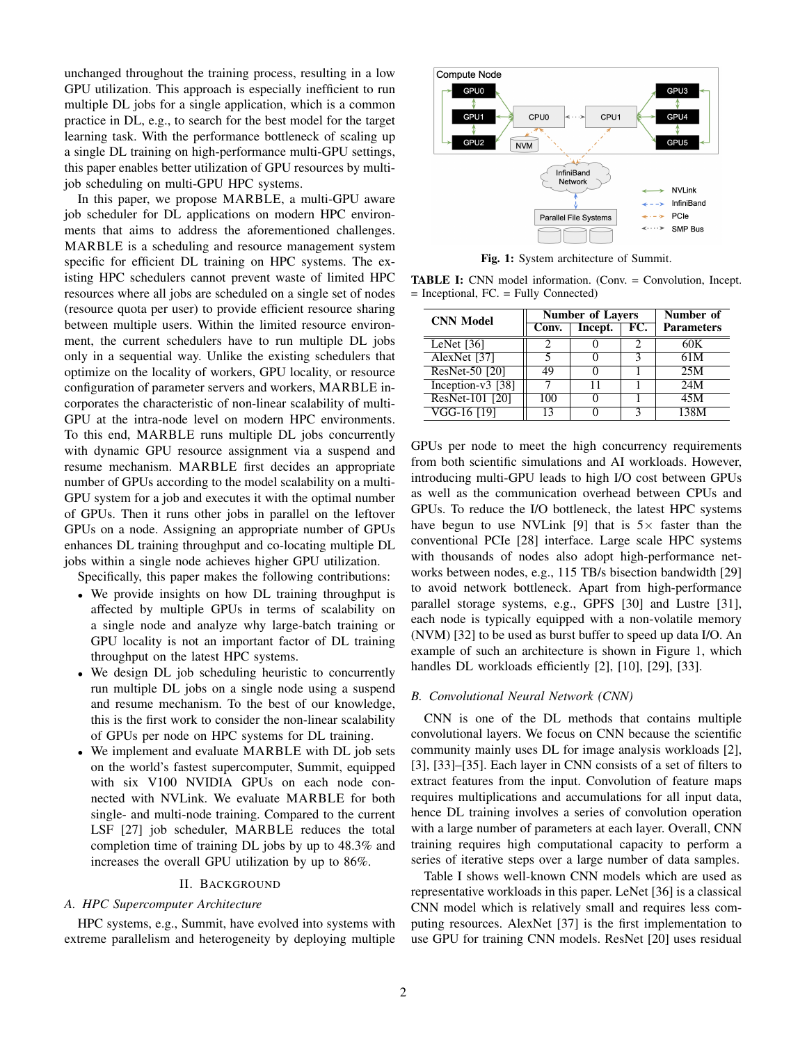unchanged throughout the training process, resulting in a low GPU utilization. This approach is especially inefficient to run multiple DL jobs for a single application, which is a common practice in DL, e.g., to search for the best model for the target learning task. With the performance bottleneck of scaling up a single DL training on high-performance multi-GPU settings, this paper enables better utilization of GPU resources by multijob scheduling on multi-GPU HPC systems.

In this paper, we propose MARBLE, a multi-GPU aware job scheduler for DL applications on modern HPC environments that aims to address the aforementioned challenges. MARBLE is a scheduling and resource management system specific for efficient DL training on HPC systems. The existing HPC schedulers cannot prevent waste of limited HPC resources where all jobs are scheduled on a single set of nodes (resource quota per user) to provide efficient resource sharing between multiple users. Within the limited resource environment, the current schedulers have to run multiple DL jobs only in a sequential way. Unlike the existing schedulers that optimize on the locality of workers, GPU locality, or resource configuration of parameter servers and workers, MARBLE incorporates the characteristic of non-linear scalability of multi-GPU at the intra-node level on modern HPC environments. To this end, MARBLE runs multiple DL jobs concurrently with dynamic GPU resource assignment via a suspend and resume mechanism. MARBLE first decides an appropriate number of GPUs according to the model scalability on a multi-GPU system for a job and executes it with the optimal number of GPUs. Then it runs other jobs in parallel on the leftover GPUs on a node. Assigning an appropriate number of GPUs enhances DL training throughput and co-locating multiple DL jobs within a single node achieves higher GPU utilization.

Specifically, this paper makes the following contributions:

- We provide insights on how DL training throughput is affected by multiple GPUs in terms of scalability on a single node and analyze why large-batch training or GPU locality is not an important factor of DL training throughput on the latest HPC systems.
- We design DL job scheduling heuristic to concurrently run multiple DL jobs on a single node using a suspend and resume mechanism. To the best of our knowledge, this is the first work to consider the non-linear scalability of GPUs per node on HPC systems for DL training.
- We implement and evaluate MARBLE with DL job sets on the world's fastest supercomputer, Summit, equipped with six V100 NVIDIA GPUs on each node connected with NVLink. We evaluate MARBLE for both single- and multi-node training. Compared to the current LSF [27] job scheduler, MARBLE reduces the total completion time of training DL jobs by up to 48.3% and increases the overall GPU utilization by up to 86%.

#### II. BACKGROUND

# *A. HPC Supercomputer Architecture*

HPC systems, e.g., Summit, have evolved into systems with extreme parallelism and heterogeneity by deploying multiple



Fig. 1: System architecture of Summit.

TABLE I: CNN model information. (Conv. = Convolution, Incept. = Inceptional, FC. = Fully Connected)

| <b>CNN Model</b>     | <b>Number of Layers</b> |         |     | Number of         |
|----------------------|-------------------------|---------|-----|-------------------|
|                      | Conv.                   | Incept. | FC. | <b>Parameters</b> |
| LeNet $[36]$         |                         |         | 2   | 60K               |
| AlexNet [37]         |                         |         | 2   | 61M               |
| ResNet-50 [20]       | 49                      |         |     | 25M               |
| $[Inception-v3 [38]$ |                         | 11      |     | 24M               |
| ResNet-101 [20]      | 100                     |         |     | 45M               |
| VGG-16 [19]          | 13                      |         |     | 138M              |

GPUs per node to meet the high concurrency requirements from both scientific simulations and AI workloads. However, introducing multi-GPU leads to high I/O cost between GPUs as well as the communication overhead between CPUs and GPUs. To reduce the I/O bottleneck, the latest HPC systems have begun to use NVLink [9] that is  $5\times$  faster than the conventional PCIe [28] interface. Large scale HPC systems with thousands of nodes also adopt high-performance networks between nodes, e.g., 115 TB/s bisection bandwidth [29] to avoid network bottleneck. Apart from high-performance parallel storage systems, e.g., GPFS [30] and Lustre [31], each node is typically equipped with a non-volatile memory (NVM) [32] to be used as burst buffer to speed up data I/O. An example of such an architecture is shown in Figure 1, which handles DL workloads efficiently [2], [10], [29], [33].

#### *B. Convolutional Neural Network (CNN)*

CNN is one of the DL methods that contains multiple convolutional layers. We focus on CNN because the scientific community mainly uses DL for image analysis workloads [2], [3], [33]–[35]. Each layer in CNN consists of a set of filters to extract features from the input. Convolution of feature maps requires multiplications and accumulations for all input data, hence DL training involves a series of convolution operation with a large number of parameters at each layer. Overall, CNN training requires high computational capacity to perform a series of iterative steps over a large number of data samples.

Table I shows well-known CNN models which are used as representative workloads in this paper. LeNet [36] is a classical CNN model which is relatively small and requires less computing resources. AlexNet [37] is the first implementation to use GPU for training CNN models. ResNet [20] uses residual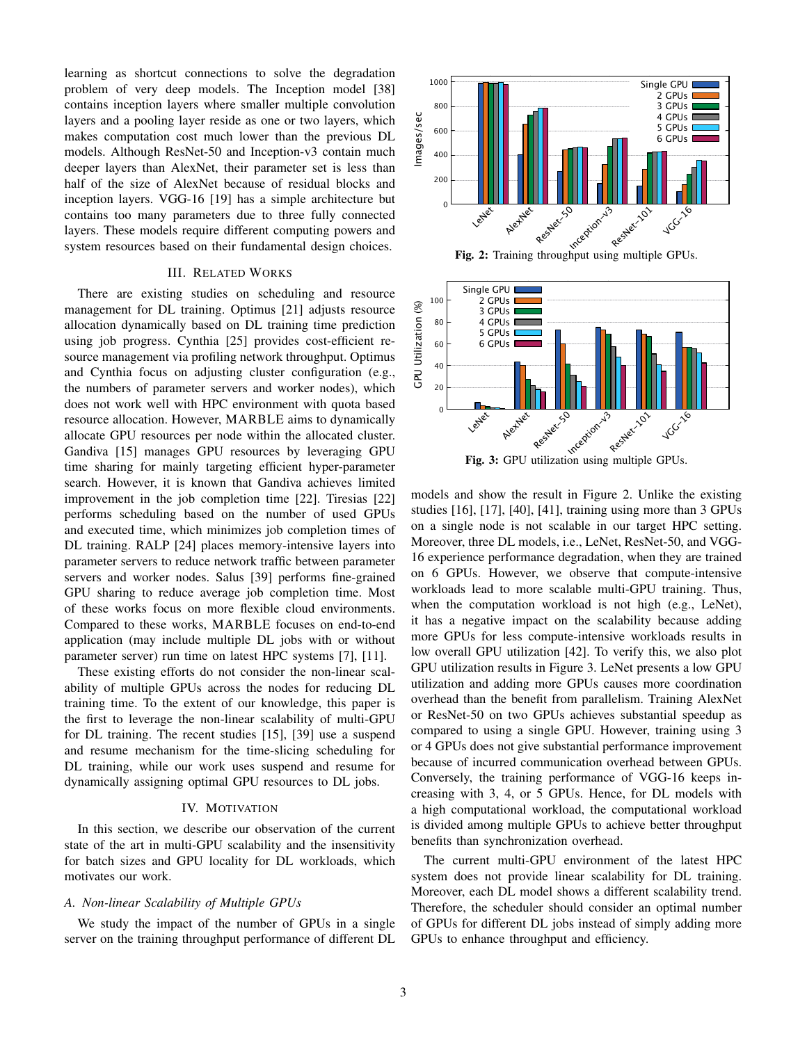learning as shortcut connections to solve the degradation problem of very deep models. The Inception model [38] contains inception layers where smaller multiple convolution layers and a pooling layer reside as one or two layers, which makes computation cost much lower than the previous DL models. Although ResNet-50 and Inception-v3 contain much deeper layers than AlexNet, their parameter set is less than half of the size of AlexNet because of residual blocks and inception layers. VGG-16 [19] has a simple architecture but contains too many parameters due to three fully connected layers. These models require different computing powers and system resources based on their fundamental design choices.

## III. RELATED WORKS

There are existing studies on scheduling and resource management for DL training. Optimus [21] adjusts resource allocation dynamically based on DL training time prediction using job progress. Cynthia [25] provides cost-efficient resource management via profiling network throughput. Optimus and Cynthia focus on adjusting cluster configuration (e.g., the numbers of parameter servers and worker nodes), which does not work well with HPC environment with quota based resource allocation. However, MARBLE aims to dynamically allocate GPU resources per node within the allocated cluster. Gandiva [15] manages GPU resources by leveraging GPU time sharing for mainly targeting efficient hyper-parameter search. However, it is known that Gandiva achieves limited improvement in the job completion time [22]. Tiresias [22] performs scheduling based on the number of used GPUs and executed time, which minimizes job completion times of DL training. RALP [24] places memory-intensive layers into parameter servers to reduce network traffic between parameter servers and worker nodes. Salus [39] performs fine-grained GPU sharing to reduce average job completion time. Most of these works focus on more flexible cloud environments. Compared to these works, MARBLE focuses on end-to-end application (may include multiple DL jobs with or without parameter server) run time on latest HPC systems [7], [11].

These existing efforts do not consider the non-linear scalability of multiple GPUs across the nodes for reducing DL training time. To the extent of our knowledge, this paper is the first to leverage the non-linear scalability of multi-GPU for DL training. The recent studies [15], [39] use a suspend and resume mechanism for the time-slicing scheduling for DL training, while our work uses suspend and resume for dynamically assigning optimal GPU resources to DL jobs.

#### IV. MOTIVATION

In this section, we describe our observation of the current state of the art in multi-GPU scalability and the insensitivity for batch sizes and GPU locality for DL workloads, which motivates our work.

#### *A. Non-linear Scalability of Multiple GPUs*

We study the impact of the number of GPUs in a single server on the training throughput performance of different DL



Fig. 2: Training throughput using multiple GPUs.



Fig. 3: GPU utilization using multiple GPUs.

models and show the result in Figure 2. Unlike the existing studies [16], [17], [40], [41], training using more than 3 GPUs on a single node is not scalable in our target HPC setting. Moreover, three DL models, i.e., LeNet, ResNet-50, and VGG-16 experience performance degradation, when they are trained on 6 GPUs. However, we observe that compute-intensive workloads lead to more scalable multi-GPU training. Thus, when the computation workload is not high (e.g., LeNet), it has a negative impact on the scalability because adding more GPUs for less compute-intensive workloads results in low overall GPU utilization [42]. To verify this, we also plot GPU utilization results in Figure 3. LeNet presents a low GPU utilization and adding more GPUs causes more coordination overhead than the benefit from parallelism. Training AlexNet or ResNet-50 on two GPUs achieves substantial speedup as compared to using a single GPU. However, training using 3 or 4 GPUs does not give substantial performance improvement because of incurred communication overhead between GPUs. Conversely, the training performance of VGG-16 keeps increasing with 3, 4, or 5 GPUs. Hence, for DL models with a high computational workload, the computational workload is divided among multiple GPUs to achieve better throughput benefits than synchronization overhead.

The current multi-GPU environment of the latest HPC system does not provide linear scalability for DL training. Moreover, each DL model shows a different scalability trend. Therefore, the scheduler should consider an optimal number of GPUs for different DL jobs instead of simply adding more GPUs to enhance throughput and efficiency.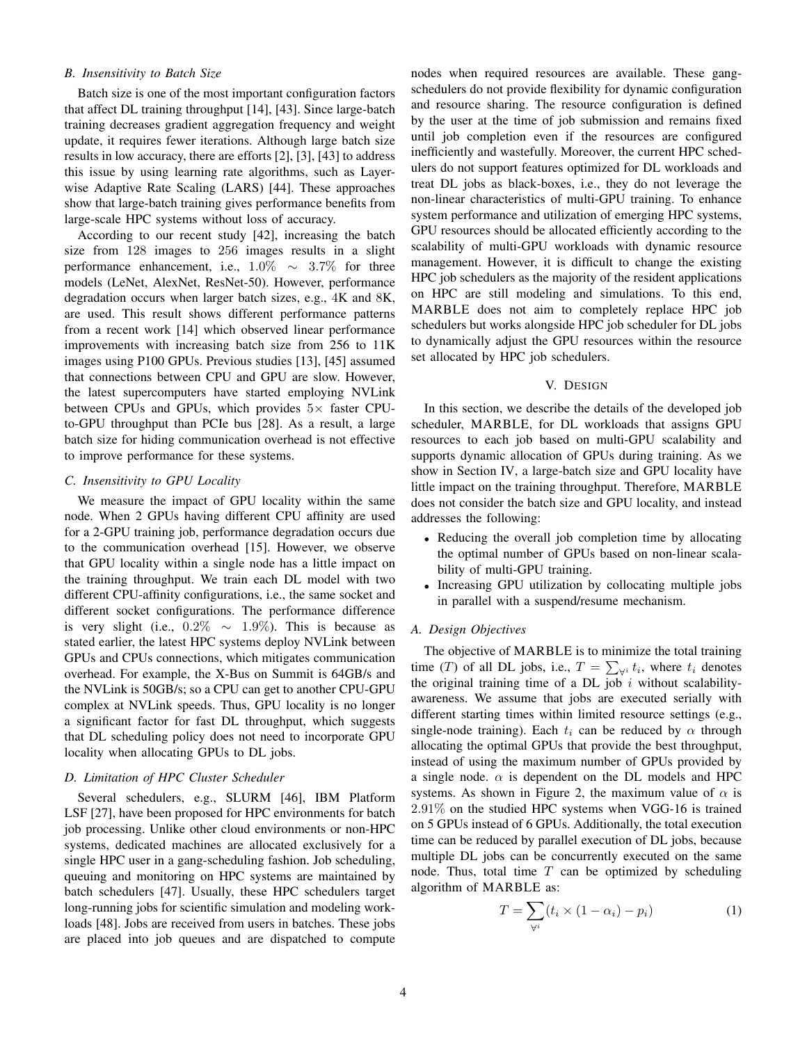# *B. Insensitivity to Batch Size*

Batch size is one of the most important configuration factors that affect DL training throughput [14], [43]. Since large-batch training decreases gradient aggregation frequency and weight update, it requires fewer iterations. Although large batch size results in low accuracy, there are efforts [2], [3], [43] to address this issue by using learning rate algorithms, such as Layerwise Adaptive Rate Scaling (LARS) [44]. These approaches show that large-batch training gives performance benefits from large-scale HPC systems without loss of accuracy.

According to our recent study [42], increasing the batch size from 128 images to 256 images results in a slight performance enhancement, i.e.,  $1.0\% \sim 3.7\%$  for three models (LeNet, AlexNet, ResNet-50). However, performance degradation occurs when larger batch sizes, e.g., 4K and 8K, are used. This result shows different performance patterns from a recent work [14] which observed linear performance improvements with increasing batch size from 256 to 11K images using P100 GPUs. Previous studies [13], [45] assumed that connections between CPU and GPU are slow. However, the latest supercomputers have started employing NVLink between CPUs and GPUs, which provides  $5\times$  faster CPUto-GPU throughput than PCIe bus [28]. As a result, a large batch size for hiding communication overhead is not effective to improve performance for these systems.

## *C. Insensitivity to GPU Locality*

We measure the impact of GPU locality within the same node. When 2 GPUs having different CPU affinity are used for a 2-GPU training job, performance degradation occurs due to the communication overhead [15]. However, we observe that GPU locality within a single node has a little impact on the training throughput. We train each DL model with two different CPU-affinity configurations, i.e., the same socket and different socket configurations. The performance difference is very slight (i.e.,  $0.2\% \sim 1.9\%$ ). This is because as stated earlier, the latest HPC systems deploy NVLink between GPUs and CPUs connections, which mitigates communication overhead. For example, the X-Bus on Summit is 64GB/s and the NVLink is 50GB/s; so a CPU can get to another CPU-GPU complex at NVLink speeds. Thus, GPU locality is no longer a significant factor for fast DL throughput, which suggests that DL scheduling policy does not need to incorporate GPU locality when allocating GPUs to DL jobs.

#### *D. Limitation of HPC Cluster Scheduler*

Several schedulers, e.g., SLURM [46], IBM Platform LSF [27], have been proposed for HPC environments for batch job processing. Unlike other cloud environments or non-HPC systems, dedicated machines are allocated exclusively for a single HPC user in a gang-scheduling fashion. Job scheduling, queuing and monitoring on HPC systems are maintained by batch schedulers [47]. Usually, these HPC schedulers target long-running jobs for scientific simulation and modeling workloads [48]. Jobs are received from users in batches. These jobs are placed into job queues and are dispatched to compute nodes when required resources are available. These gangschedulers do not provide flexibility for dynamic configuration and resource sharing. The resource configuration is defined by the user at the time of job submission and remains fixed until job completion even if the resources are configured inefficiently and wastefully. Moreover, the current HPC schedulers do not support features optimized for DL workloads and treat DL jobs as black-boxes, i.e., they do not leverage the non-linear characteristics of multi-GPU training. To enhance system performance and utilization of emerging HPC systems, GPU resources should be allocated efficiently according to the scalability of multi-GPU workloads with dynamic resource management. However, it is difficult to change the existing HPC job schedulers as the majority of the resident applications on HPC are still modeling and simulations. To this end, MARBLE does not aim to completely replace HPC job schedulers but works alongside HPC job scheduler for DL jobs to dynamically adjust the GPU resources within the resource set allocated by HPC job schedulers.

#### V. DESIGN

In this section, we describe the details of the developed job scheduler, MARBLE, for DL workloads that assigns GPU resources to each job based on multi-GPU scalability and supports dynamic allocation of GPUs during training. As we show in Section IV, a large-batch size and GPU locality have little impact on the training throughput. Therefore, MARBLE does not consider the batch size and GPU locality, and instead addresses the following:

- Reducing the overall job completion time by allocating the optimal number of GPUs based on non-linear scalability of multi-GPU training.
- Increasing GPU utilization by collocating multiple jobs in parallel with a suspend/resume mechanism.

# *A. Design Objectives*

The objective of MARBLE is to minimize the total training time (T) of all DL jobs, i.e.,  $T = \sum_{\forall i} t_i$ , where  $t_i$  denotes the original training time of a DL job  $i$  without scalabilityawareness. We assume that jobs are executed serially with different starting times within limited resource settings (e.g., single-node training). Each  $t_i$  can be reduced by  $\alpha$  through allocating the optimal GPUs that provide the best throughput, instead of using the maximum number of GPUs provided by a single node.  $\alpha$  is dependent on the DL models and HPC systems. As shown in Figure 2, the maximum value of  $\alpha$  is 2.91% on the studied HPC systems when VGG-16 is trained on 5 GPUs instead of 6 GPUs. Additionally, the total execution time can be reduced by parallel execution of DL jobs, because multiple DL jobs can be concurrently executed on the same node. Thus, total time  $T$  can be optimized by scheduling algorithm of MARBLE as:

$$
T = \sum_{\forall i} (t_i \times (1 - \alpha_i) - p_i)
$$
 (1)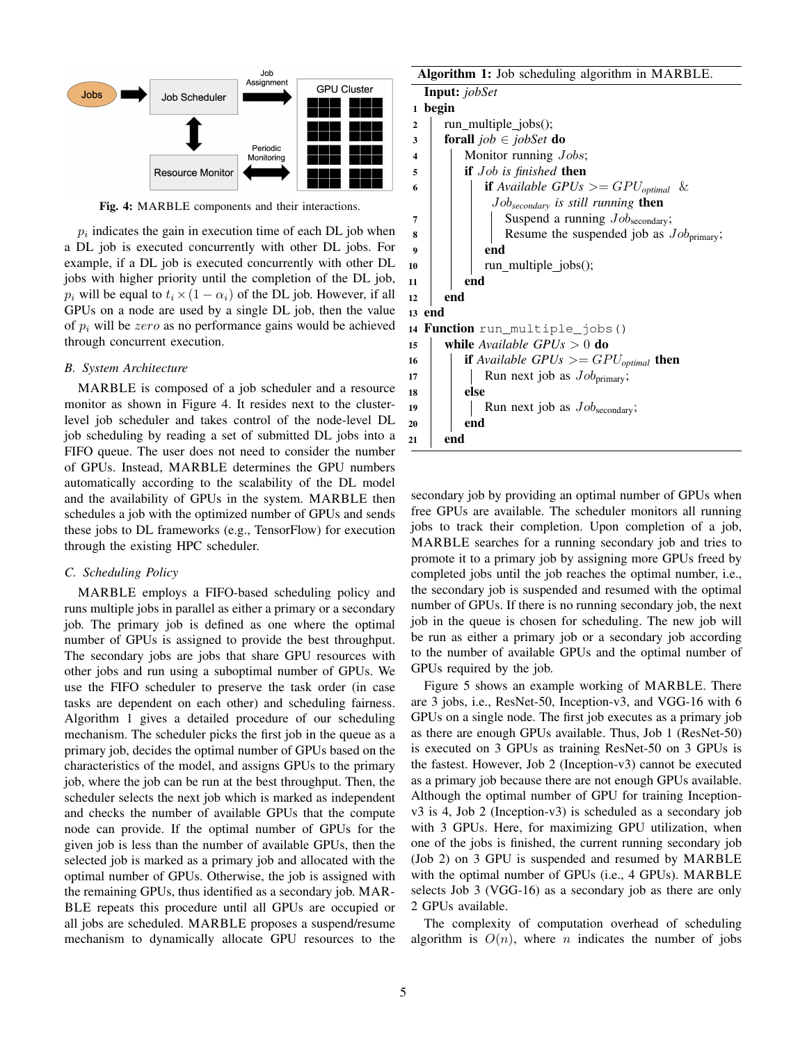

Fig. 4: MARBLE components and their interactions.

 $p_i$  indicates the gain in execution time of each DL job when a DL job is executed concurrently with other DL jobs. For example, if a DL job is executed concurrently with other DL jobs with higher priority until the completion of the DL job,  $p_i$  will be equal to  $t_i \times (1 - \alpha_i)$  of the DL job. However, if all GPUs on a node are used by a single DL job, then the value of  $p_i$  will be zero as no performance gains would be achieved through concurrent execution.

## *B. System Architecture*

MARBLE is composed of a job scheduler and a resource monitor as shown in Figure 4. It resides next to the clusterlevel job scheduler and takes control of the node-level DL job scheduling by reading a set of submitted DL jobs into a FIFO queue. The user does not need to consider the number of GPUs. Instead, MARBLE determines the GPU numbers automatically according to the scalability of the DL model and the availability of GPUs in the system. MARBLE then schedules a job with the optimized number of GPUs and sends these jobs to DL frameworks (e.g., TensorFlow) for execution through the existing HPC scheduler.

## *C. Scheduling Policy*

MARBLE employs a FIFO-based scheduling policy and runs multiple jobs in parallel as either a primary or a secondary job. The primary job is defined as one where the optimal number of GPUs is assigned to provide the best throughput. The secondary jobs are jobs that share GPU resources with other jobs and run using a suboptimal number of GPUs. We use the FIFO scheduler to preserve the task order (in case tasks are dependent on each other) and scheduling fairness. Algorithm 1 gives a detailed procedure of our scheduling mechanism. The scheduler picks the first job in the queue as a primary job, decides the optimal number of GPUs based on the characteristics of the model, and assigns GPUs to the primary job, where the job can be run at the best throughput. Then, the scheduler selects the next job which is marked as independent and checks the number of available GPUs that the compute node can provide. If the optimal number of GPUs for the given job is less than the number of available GPUs, then the selected job is marked as a primary job and allocated with the optimal number of GPUs. Otherwise, the job is assigned with the remaining GPUs, thus identified as a secondary job. MAR-BLE repeats this procedure until all GPUs are occupied or all jobs are scheduled. MARBLE proposes a suspend/resume mechanism to dynamically allocate GPU resources to the

Algorithm 1: Job scheduling algorithm in MARBLE. Input: *jobSet* <sup>1</sup> begin  $2 \mid \text{run\_multiple\_ jobs}$ . <sup>3</sup> forall *job* ∈ *jobSet* do 4 | | Monitor running *Jobs*; 5 **if** *Job is finished* **then** 6 **iii if** Available GPUs  $\geq$  GPU<sub>optimal</sub> & Job*secondary is still running* then  $7 \mid \mid \cdot \mid$  Suspend a running  $Job_{\text{secondary}}$ ;  $\mathbf{8}$  | | | Resume the suspended job as  $Job_{\text{primary}}$ ;  $9 \mid \cdot \cdot \cdot$  end 10 | | run\_multiple\_jobs();  $11$  end <sup>12</sup> end <sup>13</sup> end 14 Function run\_multiple\_jobs() <sup>15</sup> while *Available GPUs* > 0 do 16 **if** Available GPUs  $>=$  GPU<sub>optimal</sub> then 17 | | Run next job as  $Job_{\text{primary}}$ ; 18 | else 19 | Run next job as  $Job_{\text{secondary}}$ ;  $20$  end  $21$  end

secondary job by providing an optimal number of GPUs when free GPUs are available. The scheduler monitors all running jobs to track their completion. Upon completion of a job, MARBLE searches for a running secondary job and tries to promote it to a primary job by assigning more GPUs freed by completed jobs until the job reaches the optimal number, i.e., the secondary job is suspended and resumed with the optimal number of GPUs. If there is no running secondary job, the next job in the queue is chosen for scheduling. The new job will be run as either a primary job or a secondary job according to the number of available GPUs and the optimal number of GPUs required by the job.

Figure 5 shows an example working of MARBLE. There are 3 jobs, i.e., ResNet-50, Inception-v3, and VGG-16 with 6 GPUs on a single node. The first job executes as a primary job as there are enough GPUs available. Thus, Job 1 (ResNet-50) is executed on 3 GPUs as training ResNet-50 on 3 GPUs is the fastest. However, Job 2 (Inception-v3) cannot be executed as a primary job because there are not enough GPUs available. Although the optimal number of GPU for training Inceptionv3 is 4, Job 2 (Inception-v3) is scheduled as a secondary job with 3 GPUs. Here, for maximizing GPU utilization, when one of the jobs is finished, the current running secondary job (Job 2) on 3 GPU is suspended and resumed by MARBLE with the optimal number of GPUs (i.e., 4 GPUs). MARBLE selects Job 3 (VGG-16) as a secondary job as there are only 2 GPUs available.

The complexity of computation overhead of scheduling algorithm is  $O(n)$ , where *n* indicates the number of jobs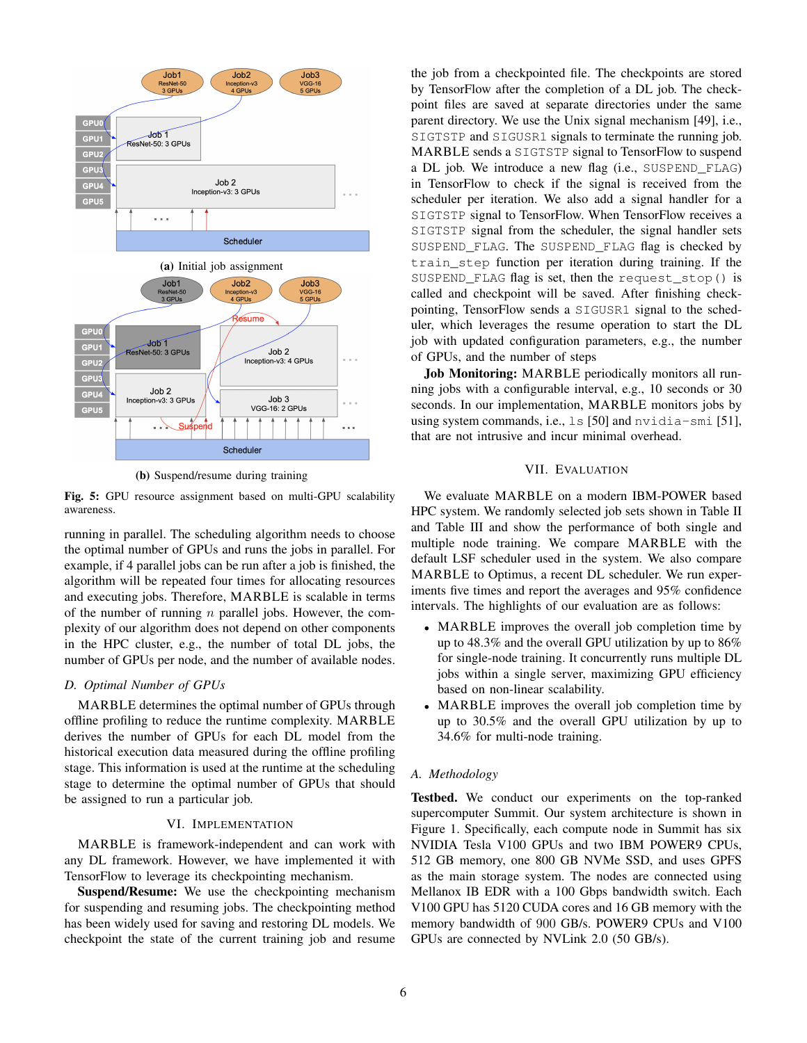

(b) Suspend/resume during training

Fig. 5: GPU resource assignment based on multi-GPU scalability awareness.

running in parallel. The scheduling algorithm needs to choose the optimal number of GPUs and runs the jobs in parallel. For example, if 4 parallel jobs can be run after a job is finished, the algorithm will be repeated four times for allocating resources and executing jobs. Therefore, MARBLE is scalable in terms of the number of running  $n$  parallel jobs. However, the complexity of our algorithm does not depend on other components in the HPC cluster, e.g., the number of total DL jobs, the number of GPUs per node, and the number of available nodes.

## *D. Optimal Number of GPUs*

MARBLE determines the optimal number of GPUs through offline profiling to reduce the runtime complexity. MARBLE derives the number of GPUs for each DL model from the historical execution data measured during the offline profiling stage. This information is used at the runtime at the scheduling stage to determine the optimal number of GPUs that should be assigned to run a particular job.

## VI. IMPLEMENTATION

MARBLE is framework-independent and can work with any DL framework. However, we have implemented it with TensorFlow to leverage its checkpointing mechanism.

Suspend/Resume: We use the checkpointing mechanism for suspending and resuming jobs. The checkpointing method has been widely used for saving and restoring DL models. We checkpoint the state of the current training job and resume the job from a checkpointed file. The checkpoints are stored by TensorFlow after the completion of a DL job. The checkpoint files are saved at separate directories under the same parent directory. We use the Unix signal mechanism [49], i.e., SIGTSTP and SIGUSR1 signals to terminate the running job. MARBLE sends a SIGTSTP signal to TensorFlow to suspend a DL job. We introduce a new flag (i.e., SUSPEND\_FLAG) in TensorFlow to check if the signal is received from the scheduler per iteration. We also add a signal handler for a SIGTSTP signal to TensorFlow. When TensorFlow receives a SIGTSTP signal from the scheduler, the signal handler sets SUSPEND FLAG. The SUSPEND FLAG flag is checked by train\_step function per iteration during training. If the SUSPEND\_FLAG flag is set, then the request\_stop() is called and checkpoint will be saved. After finishing checkpointing, TensorFlow sends a SIGUSR1 signal to the scheduler, which leverages the resume operation to start the DL job with updated configuration parameters, e.g., the number of GPUs, and the number of steps

Job Monitoring: MARBLE periodically monitors all running jobs with a configurable interval, e.g., 10 seconds or 30 seconds. In our implementation, MARBLE monitors jobs by using system commands, i.e., ls [50] and nvidia-smi [51], that are not intrusive and incur minimal overhead.

# VII. EVALUATION

We evaluate MARBLE on a modern IBM-POWER based HPC system. We randomly selected job sets shown in Table II and Table III and show the performance of both single and multiple node training. We compare MARBLE with the default LSF scheduler used in the system. We also compare MARBLE to Optimus, a recent DL scheduler. We run experiments five times and report the averages and 95% confidence intervals. The highlights of our evaluation are as follows:

- MARBLE improves the overall job completion time by up to 48.3% and the overall GPU utilization by up to 86% for single-node training. It concurrently runs multiple DL jobs within a single server, maximizing GPU efficiency based on non-linear scalability.
- MARBLE improves the overall job completion time by up to 30.5% and the overall GPU utilization by up to 34.6% for multi-node training.

#### *A. Methodology*

Testbed. We conduct our experiments on the top-ranked supercomputer Summit. Our system architecture is shown in Figure 1. Specifically, each compute node in Summit has six NVIDIA Tesla V100 GPUs and two IBM POWER9 CPUs, 512 GB memory, one 800 GB NVMe SSD, and uses GPFS as the main storage system. The nodes are connected using Mellanox IB EDR with a 100 Gbps bandwidth switch. Each V100 GPU has 5120 CUDA cores and 16 GB memory with the memory bandwidth of 900 GB/s. POWER9 CPUs and V100 GPUs are connected by NVLink 2.0 (50 GB/s).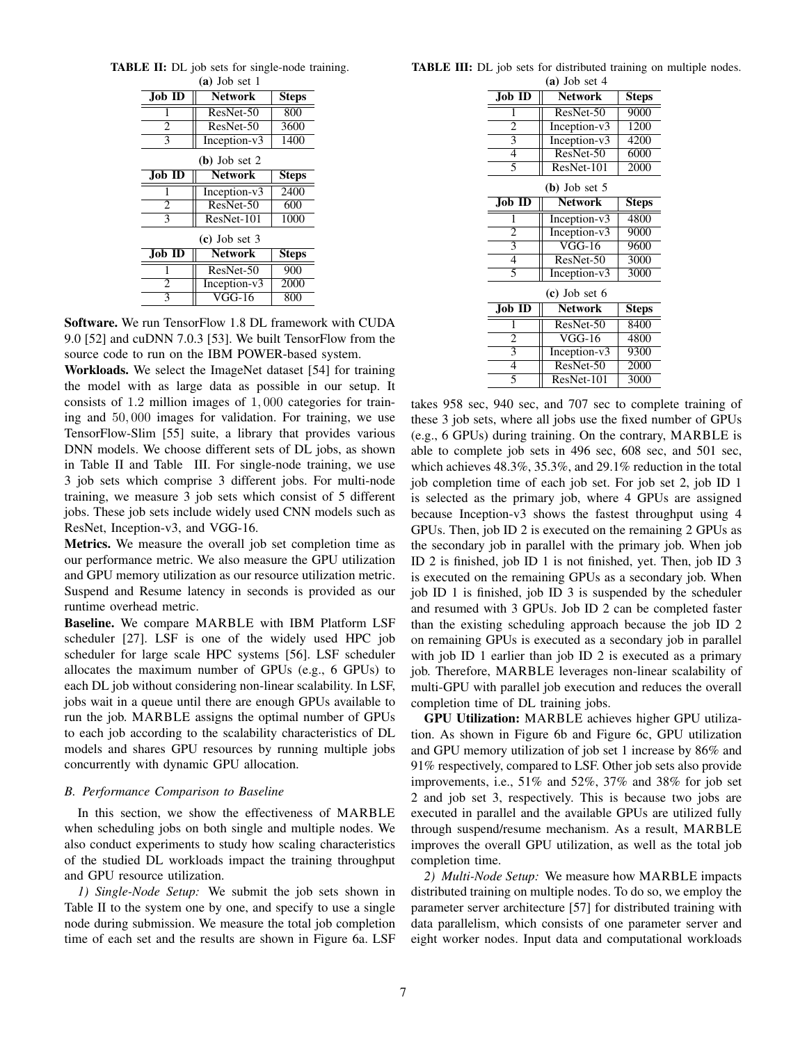| $(a)$ Job set 1 |                |              |  |  |
|-----------------|----------------|--------------|--|--|
| <b>Job ID</b>   | <b>Network</b> | <b>Steps</b> |  |  |
|                 | ResNet-50      | 800          |  |  |
| $\overline{c}$  | ResNet-50      | 3600         |  |  |
| 3               | Inception-v3   | 1400         |  |  |
| $(b)$ Job set 2 |                |              |  |  |
| <b>Job ID</b>   | <b>Network</b> | <b>Steps</b> |  |  |
|                 | Inception-v3   | 2400         |  |  |
| 2               | ResNet-50      | 600          |  |  |
| 3               | ResNet-101     | 1000         |  |  |
| $(c)$ Job set 3 |                |              |  |  |
| <b>Job ID</b>   | <b>Network</b> | <b>Steps</b> |  |  |
| 1               | ResNet-50      | 900          |  |  |
| $\overline{c}$  | Inception-v3   | 2000         |  |  |
| 3               | VGG-16         | 800          |  |  |

TABLE II: DL job sets for single-node training.

Software. We run TensorFlow 1.8 DL framework with CUDA 9.0 [52] and cuDNN 7.0.3 [53]. We built TensorFlow from the source code to run on the IBM POWER-based system.

Workloads. We select the ImageNet dataset [54] for training the model with as large data as possible in our setup. It consists of 1.2 million images of 1, 000 categories for training and 50, 000 images for validation. For training, we use TensorFlow-Slim [55] suite, a library that provides various DNN models. We choose different sets of DL jobs, as shown in Table II and Table III. For single-node training, we use 3 job sets which comprise 3 different jobs. For multi-node training, we measure 3 job sets which consist of 5 different jobs. These job sets include widely used CNN models such as ResNet, Inception-v3, and VGG-16.

Metrics. We measure the overall job set completion time as our performance metric. We also measure the GPU utilization and GPU memory utilization as our resource utilization metric. Suspend and Resume latency in seconds is provided as our runtime overhead metric.

Baseline. We compare MARBLE with IBM Platform LSF scheduler [27]. LSF is one of the widely used HPC job scheduler for large scale HPC systems [56]. LSF scheduler allocates the maximum number of GPUs (e.g., 6 GPUs) to each DL job without considering non-linear scalability. In LSF, jobs wait in a queue until there are enough GPUs available to run the job. MARBLE assigns the optimal number of GPUs to each job according to the scalability characteristics of DL models and shares GPU resources by running multiple jobs concurrently with dynamic GPU allocation.

#### *B. Performance Comparison to Baseline*

In this section, we show the effectiveness of MARBLE when scheduling jobs on both single and multiple nodes. We also conduct experiments to study how scaling characteristics of the studied DL workloads impact the training throughput and GPU resource utilization.

*1) Single-Node Setup:* We submit the job sets shown in Table II to the system one by one, and specify to use a single node during submission. We measure the total job completion time of each set and the results are shown in Figure 6a. LSF

TABLE III: DL job sets for distributed training on multiple nodes.

| $(a)$ Job set 4 |                 |              |  |  |
|-----------------|-----------------|--------------|--|--|
| Job ID          | <b>Network</b>  | Steps        |  |  |
| 1               | ResNet-50       | 9000         |  |  |
| $\overline{2}$  | Inception-v3    | 1200         |  |  |
| 3               | Inception-v3    | 4200         |  |  |
| 4               | ResNet-50       | 6000         |  |  |
| 5               | ResNet-101      | 2000         |  |  |
| $(b)$ Job set 5 |                 |              |  |  |
| $Job$ ID        | <b>Network</b>  | Steps        |  |  |
| 1               | Inception-v3    | 4800         |  |  |
| $\overline{2}$  | Inception- $v3$ | 9000         |  |  |
| 3               | $VGG-16$        | 9600         |  |  |
| 4               | ResNet-50       | 3000         |  |  |
| 5               | Inception-v3    | 3000         |  |  |
| $(c)$ Job set 6 |                 |              |  |  |
| <b>Job ID</b>   | <b>Network</b>  | <b>Steps</b> |  |  |
| 1               | ResNet-50       | 8400         |  |  |
| $\overline{2}$  | $VGG-16$        | 4800         |  |  |
| 3               | Inception-v3    | 9300         |  |  |
| 4               | ResNet-50       | 2000         |  |  |
| 5               | ResNet-101      | 3000         |  |  |

takes 958 sec, 940 sec, and 707 sec to complete training of these 3 job sets, where all jobs use the fixed number of GPUs (e.g., 6 GPUs) during training. On the contrary, MARBLE is able to complete job sets in 496 sec, 608 sec, and 501 sec, which achieves 48.3%, 35.3%, and 29.1% reduction in the total job completion time of each job set. For job set 2, job ID 1 is selected as the primary job, where 4 GPUs are assigned because Inception-v3 shows the fastest throughput using 4 GPUs. Then, job ID 2 is executed on the remaining 2 GPUs as the secondary job in parallel with the primary job. When job ID 2 is finished, job ID 1 is not finished, yet. Then, job ID 3 is executed on the remaining GPUs as a secondary job. When job ID 1 is finished, job ID 3 is suspended by the scheduler and resumed with 3 GPUs. Job ID 2 can be completed faster than the existing scheduling approach because the job ID 2 on remaining GPUs is executed as a secondary job in parallel with job ID 1 earlier than job ID 2 is executed as a primary job. Therefore, MARBLE leverages non-linear scalability of multi-GPU with parallel job execution and reduces the overall completion time of DL training jobs.

GPU Utilization: MARBLE achieves higher GPU utilization. As shown in Figure 6b and Figure 6c, GPU utilization and GPU memory utilization of job set 1 increase by 86% and 91% respectively, compared to LSF. Other job sets also provide improvements, i.e., 51% and 52%, 37% and 38% for job set 2 and job set 3, respectively. This is because two jobs are executed in parallel and the available GPUs are utilized fully through suspend/resume mechanism. As a result, MARBLE improves the overall GPU utilization, as well as the total job completion time.

*2) Multi-Node Setup:* We measure how MARBLE impacts distributed training on multiple nodes. To do so, we employ the parameter server architecture [57] for distributed training with data parallelism, which consists of one parameter server and eight worker nodes. Input data and computational workloads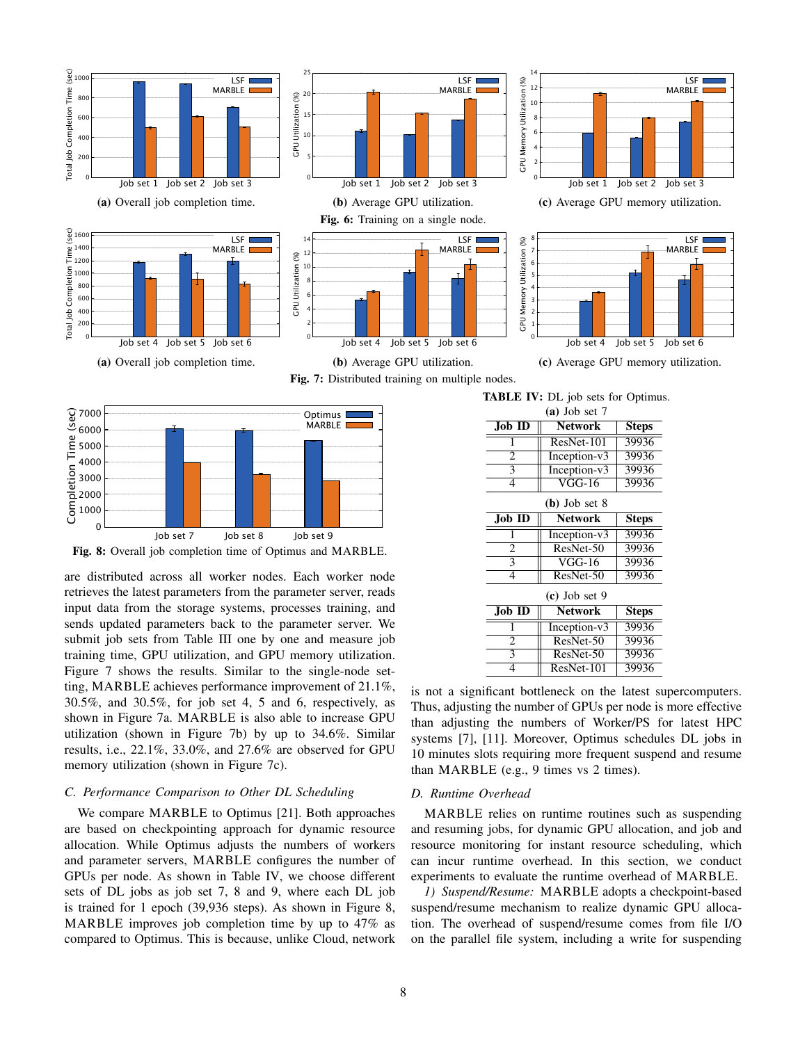



Fig. 8: Overall job completion time of Optimus and MARBLE.

are distributed across all worker nodes. Each worker node retrieves the latest parameters from the parameter server, reads input data from the storage systems, processes training, and sends updated parameters back to the parameter server. We submit job sets from Table III one by one and measure job training time, GPU utilization, and GPU memory utilization. Figure 7 shows the results. Similar to the single-node setting, MARBLE achieves performance improvement of 21.1%, 30.5%, and 30.5%, for job set 4, 5 and 6, respectively, as shown in Figure 7a. MARBLE is also able to increase GPU utilization (shown in Figure 7b) by up to 34.6%. Similar results, i.e., 22.1%, 33.0%, and 27.6% are observed for GPU memory utilization (shown in Figure 7c).

## *C. Performance Comparison to Other DL Scheduling*

We compare MARBLE to Optimus [21]. Both approaches are based on checkpointing approach for dynamic resource allocation. While Optimus adjusts the numbers of workers and parameter servers, MARBLE configures the number of GPUs per node. As shown in Table IV, we choose different sets of DL jobs as job set 7, 8 and 9, where each DL job is trained for 1 epoch (39,936 steps). As shown in Figure 8, MARBLE improves job completion time by up to 47% as compared to Optimus. This is because, unlike Cloud, network

| $(a)$ Job set 7 |                |              |  |  |
|-----------------|----------------|--------------|--|--|
| $Job$ ID        | <b>Network</b> | <b>Steps</b> |  |  |
| 1               | ResNet-101     | 39936        |  |  |
| $\overline{c}$  | Inception-v3   | 39936        |  |  |
| 3               | Inception-v3   | 39936        |  |  |
| 4               | <b>VGG-16</b>  | 39936        |  |  |
| $(b)$ Job set 8 |                |              |  |  |
| $Job$ ID        | <b>Network</b> | <b>Steps</b> |  |  |
|                 | Inception-v3   | 39936        |  |  |
| $\overline{c}$  | ResNet-50      | 39936        |  |  |
| 3               | VGG-16         | 39936        |  |  |
| 4               | ResNet-50      | 39936        |  |  |
| $(c)$ Job set 9 |                |              |  |  |
| Job ID          | <b>Network</b> | <b>Steps</b> |  |  |
|                 | Inception-v3   | 39936        |  |  |
| 2               | ResNet-50      | 39936        |  |  |
|                 |                |              |  |  |
| 3               | $ResNet-50$    | 39936        |  |  |

is not a significant bottleneck on the latest supercomputers. Thus, adjusting the number of GPUs per node is more effective than adjusting the numbers of Worker/PS for latest HPC systems [7], [11]. Moreover, Optimus schedules DL jobs in 10 minutes slots requiring more frequent suspend and resume than MARBLE (e.g., 9 times vs 2 times).

#### *D. Runtime Overhead*

MARBLE relies on runtime routines such as suspending and resuming jobs, for dynamic GPU allocation, and job and resource monitoring for instant resource scheduling, which can incur runtime overhead. In this section, we conduct experiments to evaluate the runtime overhead of MARBLE.

*1) Suspend/Resume:* MARBLE adopts a checkpoint-based suspend/resume mechanism to realize dynamic GPU allocation. The overhead of suspend/resume comes from file I/O on the parallel file system, including a write for suspending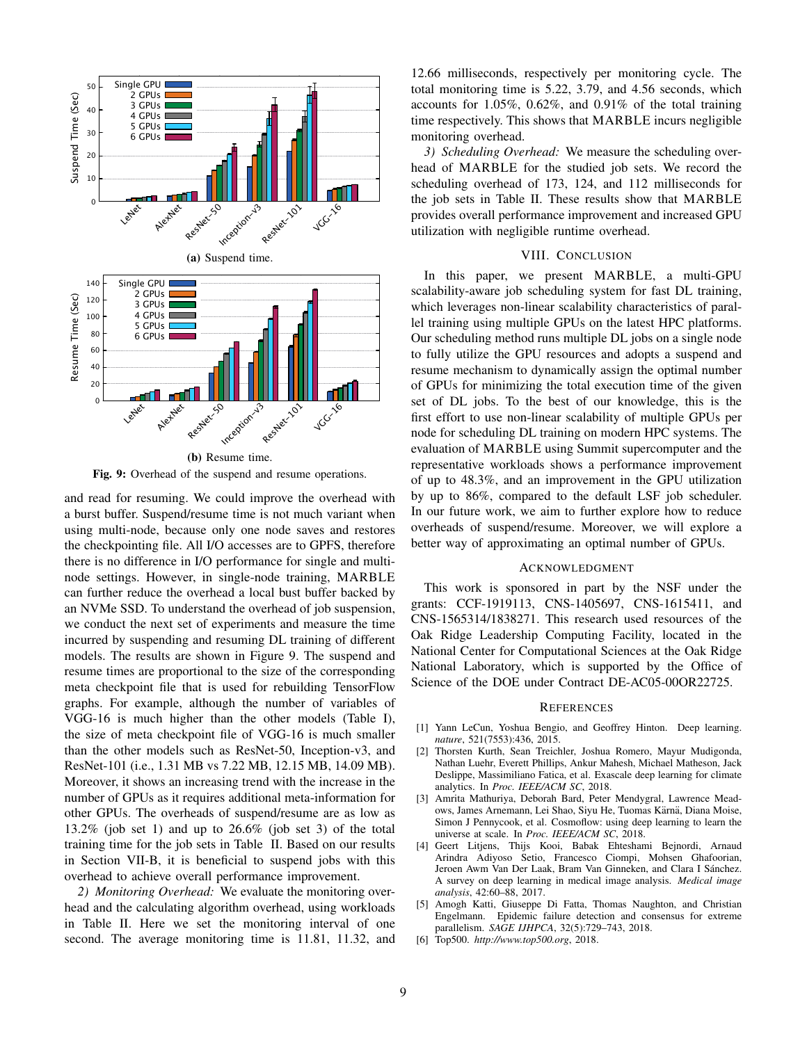

Fig. 9: Overhead of the suspend and resume operations.

and read for resuming. We could improve the overhead with a burst buffer. Suspend/resume time is not much variant when using multi-node, because only one node saves and restores the checkpointing file. All I/O accesses are to GPFS, therefore there is no difference in I/O performance for single and multinode settings. However, in single-node training, MARBLE can further reduce the overhead a local bust buffer backed by an NVMe SSD. To understand the overhead of job suspension, we conduct the next set of experiments and measure the time incurred by suspending and resuming DL training of different models. The results are shown in Figure 9. The suspend and resume times are proportional to the size of the corresponding meta checkpoint file that is used for rebuilding TensorFlow graphs. For example, although the number of variables of VGG-16 is much higher than the other models (Table I), the size of meta checkpoint file of VGG-16 is much smaller than the other models such as ResNet-50, Inception-v3, and ResNet-101 (i.e., 1.31 MB vs 7.22 MB, 12.15 MB, 14.09 MB). Moreover, it shows an increasing trend with the increase in the number of GPUs as it requires additional meta-information for other GPUs. The overheads of suspend/resume are as low as 13.2% (job set 1) and up to 26.6% (job set 3) of the total training time for the job sets in Table II. Based on our results in Section VII-B, it is beneficial to suspend jobs with this overhead to achieve overall performance improvement.

*2) Monitoring Overhead:* We evaluate the monitoring overhead and the calculating algorithm overhead, using workloads in Table II. Here we set the monitoring interval of one second. The average monitoring time is 11.81, 11.32, and

12.66 milliseconds, respectively per monitoring cycle. The total monitoring time is 5.22, 3.79, and 4.56 seconds, which accounts for 1.05%, 0.62%, and 0.91% of the total training time respectively. This shows that MARBLE incurs negligible monitoring overhead.

*3) Scheduling Overhead:* We measure the scheduling overhead of MARBLE for the studied job sets. We record the scheduling overhead of 173, 124, and 112 milliseconds for the job sets in Table II. These results show that MARBLE provides overall performance improvement and increased GPU utilization with negligible runtime overhead.

## VIII. CONCLUSION

In this paper, we present MARBLE, a multi-GPU scalability-aware job scheduling system for fast DL training, which leverages non-linear scalability characteristics of parallel training using multiple GPUs on the latest HPC platforms. Our scheduling method runs multiple DL jobs on a single node to fully utilize the GPU resources and adopts a suspend and resume mechanism to dynamically assign the optimal number of GPUs for minimizing the total execution time of the given set of DL jobs. To the best of our knowledge, this is the first effort to use non-linear scalability of multiple GPUs per node for scheduling DL training on modern HPC systems. The evaluation of MARBLE using Summit supercomputer and the representative workloads shows a performance improvement of up to 48.3%, and an improvement in the GPU utilization by up to 86%, compared to the default LSF job scheduler. In our future work, we aim to further explore how to reduce overheads of suspend/resume. Moreover, we will explore a better way of approximating an optimal number of GPUs.

#### ACKNOWLEDGMENT

This work is sponsored in part by the NSF under the grants: CCF-1919113, CNS-1405697, CNS-1615411, and CNS-1565314/1838271. This research used resources of the Oak Ridge Leadership Computing Facility, located in the National Center for Computational Sciences at the Oak Ridge National Laboratory, which is supported by the Office of Science of the DOE under Contract DE-AC05-00OR22725.

#### **REFERENCES**

- [1] Yann LeCun, Yoshua Bengio, and Geoffrey Hinton. Deep learning. *nature*, 521(7553):436, 2015.
- [2] Thorsten Kurth, Sean Treichler, Joshua Romero, Mayur Mudigonda, Nathan Luehr, Everett Phillips, Ankur Mahesh, Michael Matheson, Jack Deslippe, Massimiliano Fatica, et al. Exascale deep learning for climate analytics. In *Proc. IEEE/ACM SC*, 2018.
- [3] Amrita Mathuriya, Deborah Bard, Peter Mendygral, Lawrence Meadows, James Arnemann, Lei Shao, Siyu He, Tuomas Kärnä, Diana Moise, Simon J Pennycook, et al. Cosmoflow: using deep learning to learn the universe at scale. In *Proc. IEEE/ACM SC*, 2018.
- [4] Geert Litjens, Thijs Kooi, Babak Ehteshami Bejnordi, Arnaud Arindra Adiyoso Setio, Francesco Ciompi, Mohsen Ghafoorian, Jeroen Awm Van Der Laak, Bram Van Ginneken, and Clara I Sánchez. A survey on deep learning in medical image analysis. *Medical image analysis*, 42:60–88, 2017.
- [5] Amogh Katti, Giuseppe Di Fatta, Thomas Naughton, and Christian Engelmann. Epidemic failure detection and consensus for extreme parallelism. *SAGE IJHPCA*, 32(5):729–743, 2018.
- [6] Top500. *http://www.top500.org*, 2018.